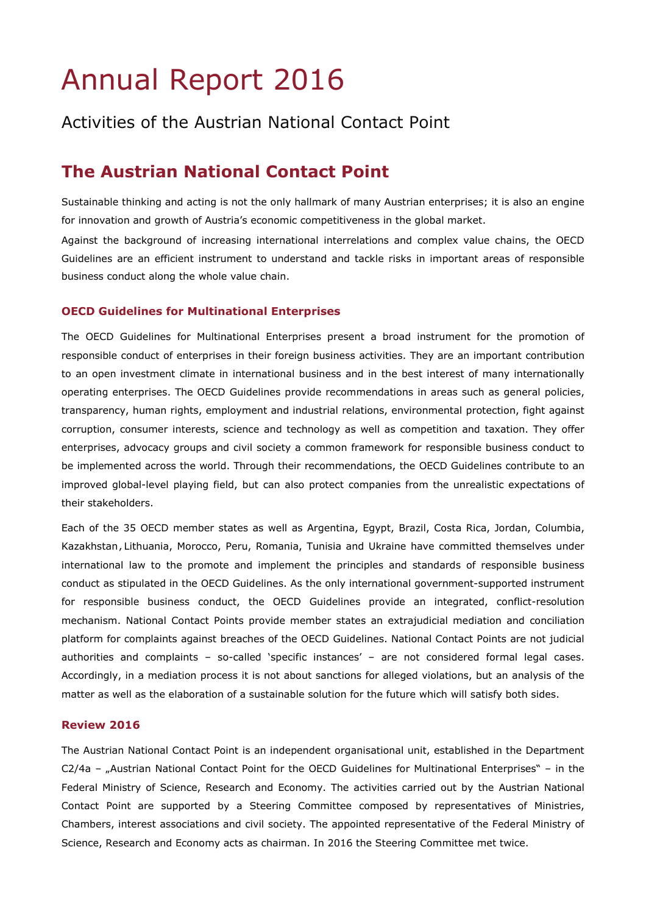# Annual Report 2016

## Activities of the Austrian National Contact Point

# **The Austrian National Contact Point**

Sustainable thinking and acting is not the only hallmark of many Austrian enterprises; it is also an engine for innovation and growth of Austria's economic competitiveness in the global market.

Against the background of increasing international interrelations and complex value chains, the OECD Guidelines are an efficient instrument to understand and tackle risks in important areas of responsible business conduct along the whole value chain.

#### **OECD Guidelines for Multinational Enterprises**

The OECD Guidelines for Multinational Enterprises present a broad instrument for the promotion of responsible conduct of enterprises in their foreign business activities. They are an important contribution to an open investment climate in international business and in the best interest of many internationally operating enterprises. The OECD Guidelines provide recommendations in areas such as general policies, transparency, human rights, employment and industrial relations, environmental protection, fight against corruption, consumer interests, science and technology as well as competition and taxation. They offer enterprises, advocacy groups and civil society a common framework for responsible business conduct to be implemented across the world. Through their recommendations, the OECD Guidelines contribute to an improved global-level playing field, but can also protect companies from the unrealistic expectations of their stakeholders.

Each of the 35 OECD member states as well as Argentina, Egypt, Brazil, Costa Rica, Jordan, Columbia, Kazakhstan,Lithuania, Morocco, Peru, Romania, Tunisia and Ukraine have committed themselves under international law to the promote and implement the principles and standards of responsible business conduct as stipulated in the OECD Guidelines. As the only international government-supported instrument for responsible business conduct, the OECD Guidelines provide an integrated, conflict-resolution mechanism. National Contact Points provide member states an extrajudicial mediation and conciliation platform for complaints against breaches of the OECD Guidelines. National Contact Points are not judicial authorities and complaints – so-called 'specific instances' – are not considered formal legal cases. Accordingly, in a mediation process it is not about sanctions for alleged violations, but an analysis of the matter as well as the elaboration of a sustainable solution for the future which will satisfy both sides.

#### **Review 2016**

The Austrian National Contact Point is an independent organisational unit, established in the Department C2/4a – "Austrian National Contact Point for the OECD Guidelines for Multinational Enterprises" – in the Federal Ministry of Science, Research and Economy. The activities carried out by the Austrian National Contact Point are supported by a Steering Committee composed by representatives of Ministries, Chambers, interest associations and civil society. The appointed representative of the Federal Ministry of Science, Research and Economy acts as chairman. In 2016 the Steering Committee met twice.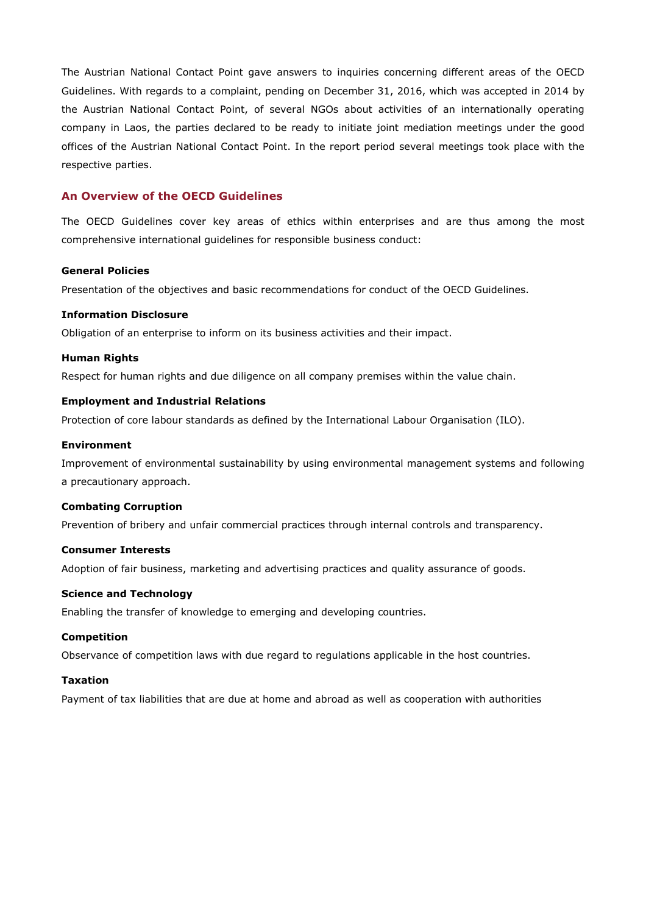The Austrian National Contact Point gave answers to inquiries concerning different areas of the OECD Guidelines. With regards to a complaint, pending on December 31, 2016, which was accepted in 2014 by the Austrian National Contact Point, of several NGOs about activities of an internationally operating company in Laos, the parties declared to be ready to initiate joint mediation meetings under the good offices of the Austrian National Contact Point. In the report period several meetings took place with the respective parties.

#### **An Overview of the OECD Guidelines**

The OECD Guidelines cover key areas of ethics within enterprises and are thus among the most comprehensive international guidelines for responsible business conduct:

#### **General Policies**

Presentation of the objectives and basic recommendations for conduct of the OECD Guidelines.

#### **Information Disclosure**

Obligation of an enterprise to inform on its business activities and their impact.

#### **Human Rights**

Respect for human rights and due diligence on all company premises within the value chain.

#### **Employment and Industrial Relations**

Protection of core labour standards as defined by the International Labour Organisation (ILO).

#### **Environment**

Improvement of environmental sustainability by using environmental management systems and following a precautionary approach.

#### **Combating Corruption**

Prevention of bribery and unfair commercial practices through internal controls and transparency.

#### **Consumer Interests**

Adoption of fair business, marketing and advertising practices and quality assurance of goods.

#### **Science and Technology**

Enabling the transfer of knowledge to emerging and developing countries.

#### **Competition**

Observance of competition laws with due regard to regulations applicable in the host countries.

#### **Taxation**

Payment of tax liabilities that are due at home and abroad as well as cooperation with authorities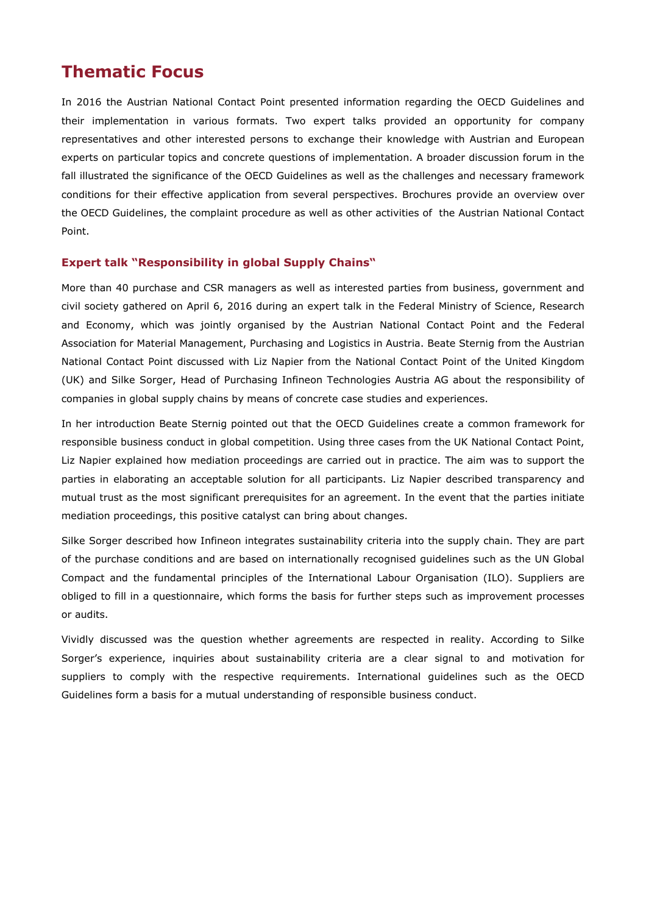### **Thematic Focus**

In 2016 the Austrian National Contact Point presented information regarding the OECD Guidelines and their implementation in various formats. Two expert talks provided an opportunity for company representatives and other interested persons to exchange their knowledge with Austrian and European experts on particular topics and concrete questions of implementation. A broader discussion forum in the fall illustrated the significance of the OECD Guidelines as well as the challenges and necessary framework conditions for their effective application from several perspectives. Brochures provide an overview over the OECD Guidelines, the complaint procedure as well as other activities of the Austrian National Contact Point.

#### **Expert talk "Responsibility in global Supply Chains"**

More than 40 purchase and CSR managers as well as interested parties from business, government and civil society gathered on April 6, 2016 during an expert talk in the Federal Ministry of Science, Research and Economy, which was jointly organised by the Austrian National Contact Point and the Federal Association for Material Management, Purchasing and Logistics in Austria. Beate Sternig from the Austrian National Contact Point discussed with Liz Napier from the National Contact Point of the United Kingdom (UK) and Silke Sorger, Head of Purchasing Infineon Technologies Austria AG about the responsibility of companies in global supply chains by means of concrete case studies and experiences.

In her introduction Beate Sternig pointed out that the OECD Guidelines create a common framework for responsible business conduct in global competition. Using three cases from the UK National Contact Point, Liz Napier explained how mediation proceedings are carried out in practice. The aim was to support the parties in elaborating an acceptable solution for all participants. Liz Napier described transparency and mutual trust as the most significant prerequisites for an agreement. In the event that the parties initiate mediation proceedings, this positive catalyst can bring about changes.

Silke Sorger described how Infineon integrates sustainability criteria into the supply chain. They are part of the purchase conditions and are based on internationally recognised guidelines such as the UN Global Compact and the fundamental principles of the International Labour Organisation (ILO). Suppliers are obliged to fill in a questionnaire, which forms the basis for further steps such as improvement processes or audits.

Vividly discussed was the question whether agreements are respected in reality. According to Silke Sorger's experience, inquiries about sustainability criteria are a clear signal to and motivation for suppliers to comply with the respective requirements. International guidelines such as the OECD Guidelines form a basis for a mutual understanding of responsible business conduct.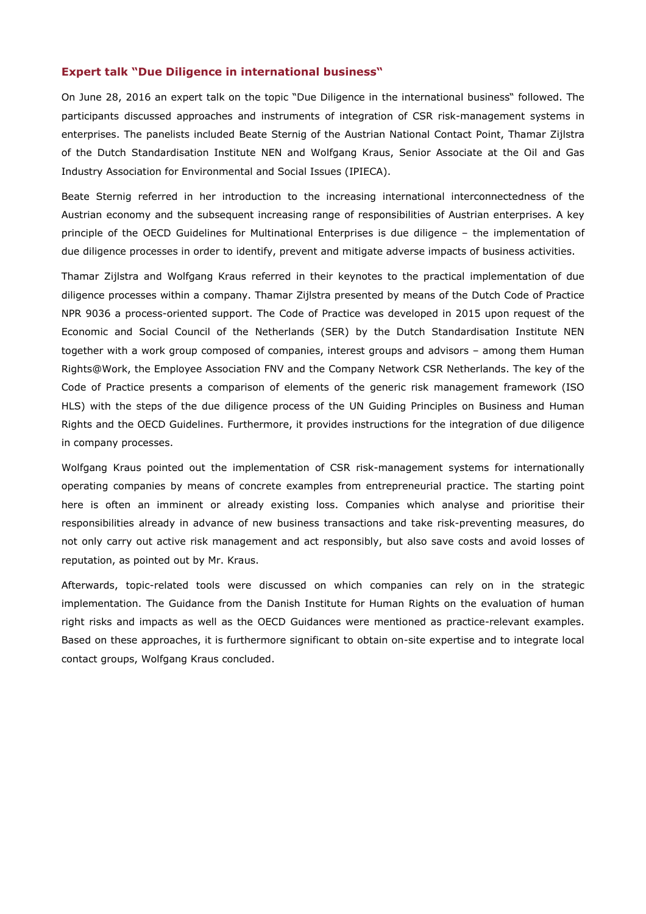#### **Expert talk "Due Diligence in international business"**

On June 28, 2016 an expert talk on the topic "Due Diligence in the international business" followed. The participants discussed approaches and instruments of integration of CSR risk-management systems in enterprises. The panelists included Beate Sternig of the Austrian National Contact Point, Thamar Zijlstra of the Dutch Standardisation Institute NEN and Wolfgang Kraus, Senior Associate at the Oil and Gas Industry Association for Environmental and Social Issues (IPIECA).

Beate Sternig referred in her introduction to the increasing international interconnectedness of the Austrian economy and the subsequent increasing range of responsibilities of Austrian enterprises. A key principle of the OECD Guidelines for Multinational Enterprises is due diligence – the implementation of due diligence processes in order to identify, prevent and mitigate adverse impacts of business activities.

Thamar Zijlstra and Wolfgang Kraus referred in their keynotes to the practical implementation of due diligence processes within a company. Thamar Zijlstra presented by means of the Dutch Code of Practice NPR 9036 a process-oriented support. The Code of Practice was developed in 2015 upon request of the Economic and Social Council of the Netherlands (SER) by the Dutch Standardisation Institute NEN together with a work group composed of companies, interest groups and advisors – among them Human Rights@Work, the Employee Association FNV and the Company Network CSR Netherlands. The key of the Code of Practice presents a comparison of elements of the generic risk management framework (ISO HLS) with the steps of the due diligence process of the UN Guiding Principles on Business and Human Rights and the OECD Guidelines. Furthermore, it provides instructions for the integration of due diligence in company processes.

Wolfgang Kraus pointed out the implementation of CSR risk-management systems for internationally operating companies by means of concrete examples from entrepreneurial practice. The starting point here is often an imminent or already existing loss. Companies which analyse and prioritise their responsibilities already in advance of new business transactions and take risk-preventing measures, do not only carry out active risk management and act responsibly, but also save costs and avoid losses of reputation, as pointed out by Mr. Kraus.

Afterwards, topic-related tools were discussed on which companies can rely on in the strategic implementation. The Guidance from the Danish Institute for Human Rights on the evaluation of human right risks and impacts as well as the OECD Guidances were mentioned as practice-relevant examples. Based on these approaches, it is furthermore significant to obtain on-site expertise and to integrate local contact groups, Wolfgang Kraus concluded.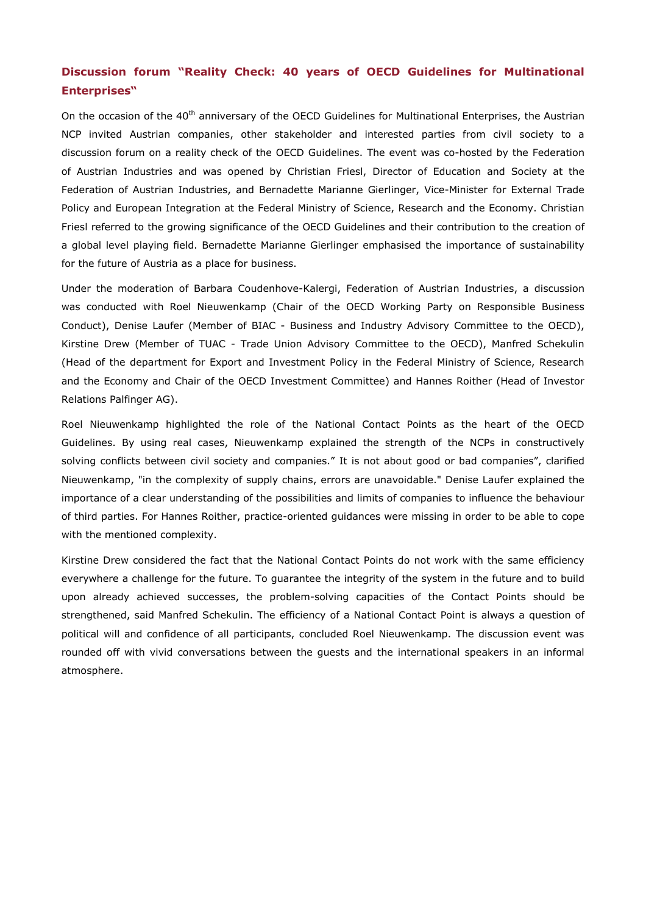### **Discussion forum "Reality Check: 40 years of OECD Guidelines for Multinational Enterprises"**

On the occasion of the 40<sup>th</sup> anniversary of the OECD Guidelines for Multinational Enterprises, the Austrian NCP invited Austrian companies, other stakeholder and interested parties from civil society to a discussion forum on a reality check of the OECD Guidelines. The event was co-hosted by the Federation of Austrian Industries and was opened by Christian Friesl, Director of Education and Society at the Federation of Austrian Industries, and Bernadette Marianne Gierlinger, Vice-Minister for External Trade Policy and European Integration at the Federal Ministry of Science, Research and the Economy. Christian Friesl referred to the growing significance of the OECD Guidelines and their contribution to the creation of a global level playing field. Bernadette Marianne Gierlinger emphasised the importance of sustainability for the future of Austria as a place for business.

Under the moderation of Barbara Coudenhove-Kalergi, Federation of Austrian Industries, a discussion was conducted with Roel Nieuwenkamp (Chair of the OECD Working Party on Responsible Business Conduct), Denise Laufer (Member of BIAC - Business and Industry Advisory Committee to the OECD), Kirstine Drew (Member of TUAC - Trade Union Advisory Committee to the OECD), Manfred Schekulin (Head of the department for Export and Investment Policy in the Federal Ministry of Science, Research and the Economy and Chair of the OECD Investment Committee) and Hannes Roither (Head of Investor Relations Palfinger AG).

Roel Nieuwenkamp highlighted the role of the National Contact Points as the heart of the OECD Guidelines. By using real cases, Nieuwenkamp explained the strength of the NCPs in constructively solving conflicts between civil society and companies." It is not about good or bad companies", clarified Nieuwenkamp, "in the complexity of supply chains, errors are unavoidable." Denise Laufer explained the importance of a clear understanding of the possibilities and limits of companies to influence the behaviour of third parties. For Hannes Roither, practice-oriented guidances were missing in order to be able to cope with the mentioned complexity.

Kirstine Drew considered the fact that the National Contact Points do not work with the same efficiency everywhere a challenge for the future. To guarantee the integrity of the system in the future and to build upon already achieved successes, the problem-solving capacities of the Contact Points should be strengthened, said Manfred Schekulin. The efficiency of a National Contact Point is always a question of political will and confidence of all participants, concluded Roel Nieuwenkamp. The discussion event was rounded off with vivid conversations between the guests and the international speakers in an informal atmosphere.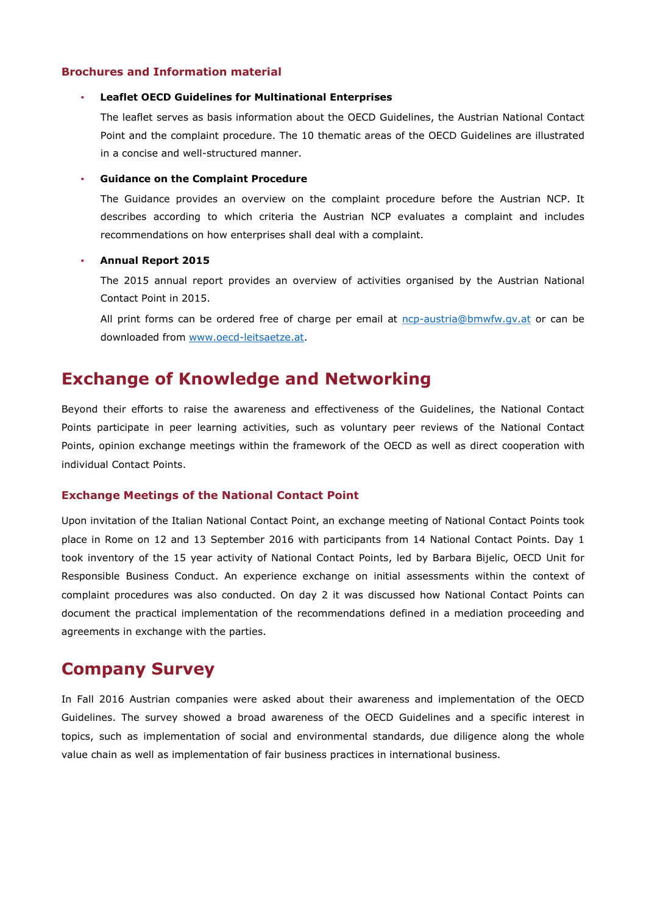#### **Brochures and Information material**

#### **Leaflet OECD Guidelines for Multinational Enterprises**

The leaflet serves as basis information about the OECD Guidelines, the Austrian National Contact Point and the complaint procedure. The 10 thematic areas of the OECD Guidelines are illustrated in a concise and well-structured manner.

#### ▪ **Guidance on the Complaint Procedure**

The Guidance provides an overview on the complaint procedure before the Austrian NCP. It describes according to which criteria the Austrian NCP evaluates a complaint and includes recommendations on how enterprises shall deal with a complaint.

#### ▪ **Annual Report 2015**

The 2015 annual report provides an overview of activities organised by the Austrian National Contact Point in 2015.

All print forms can be ordered free of charge per email at [ncp-austria@bmwfw.gv.at](mailto:NCP-Austria@bmwfw.gv.at) or can be downloaded from [www.oecd-leitsaetze.at.](http://www.oecd-leitsaetze.at/)

### **Exchange of Knowledge and Networking**

Beyond their efforts to raise the awareness and effectiveness of the Guidelines, the National Contact Points participate in peer learning activities, such as voluntary peer reviews of the National Contact Points, opinion exchange meetings within the framework of the OECD as well as direct cooperation with individual Contact Points.

#### **Exchange Meetings of the National Contact Point**

Upon invitation of the Italian National Contact Point, an exchange meeting of National Contact Points took place in Rome on 12 and 13 September 2016 with participants from 14 National Contact Points. Day 1 took inventory of the 15 year activity of National Contact Points, led by Barbara Bijelic, OECD Unit for Responsible Business Conduct. An experience exchange on initial assessments within the context of complaint procedures was also conducted. On day 2 it was discussed how National Contact Points can document the practical implementation of the recommendations defined in a mediation proceeding and agreements in exchange with the parties.

### **Company Survey**

In Fall 2016 Austrian companies were asked about their awareness and implementation of the OECD Guidelines. The survey showed a broad awareness of the OECD Guidelines and a specific interest in topics, such as implementation of social and environmental standards, due diligence along the whole value chain as well as implementation of fair business practices in international business.